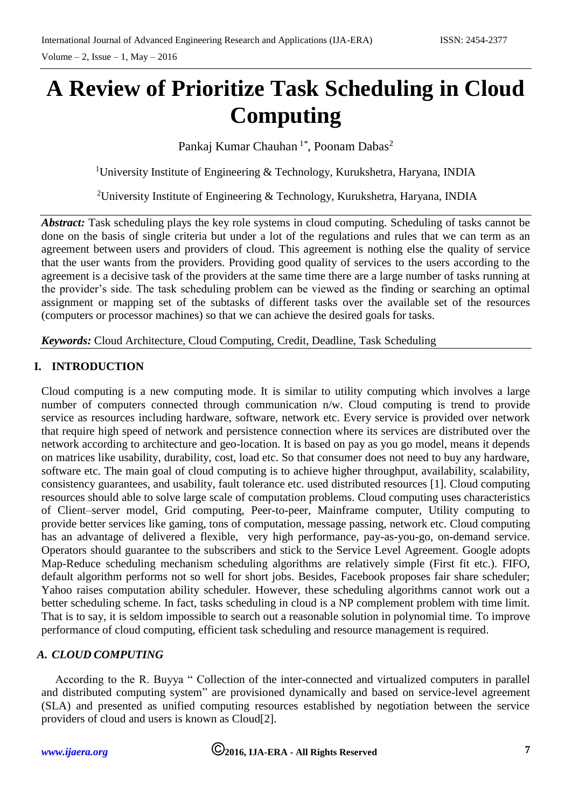# **A Review of Prioritize Task Scheduling in Cloud Computing**

Pankaj Kumar Chauhan <sup>1\*</sup>, Poonam Dabas<sup>2</sup>

<sup>1</sup>University Institute of Engineering  $\&$  Technology, Kurukshetra, Haryana, INDIA

<sup>2</sup>University Institute of Engineering & Technology, Kurukshetra, Haryana, INDIA

*Abstract:* Task scheduling plays the key role systems in cloud computing. Scheduling of tasks cannot be done on the basis of single criteria but under a lot of the regulations and rules that we can term as an agreement between users and providers of cloud. This agreement is nothing else the quality of service that the user wants from the providers. Providing good quality of services to the users according to the agreement is a decisive task of the providers at the same time there are a large number of tasks running at the provider's side. The task scheduling problem can be viewed as the finding or searching an optimal assignment or mapping set of the subtasks of different tasks over the available set of the resources (computers or processor machines) so that we can achieve the desired goals for tasks.

*Keywords:* Cloud Architecture, Cloud Computing, Credit, Deadline, Task Scheduling

## **I. INTRODUCTION**

Cloud computing is a new computing mode. It is similar to utility computing which involves a large number of computers connected through communication n/w. Cloud computing is trend to provide service as resources including hardware, software, network etc. Every service is provided over network that require high speed of network and persistence connection where its services are distributed over the network according to architecture and geo-location. It is based on pay as you go model, means it depends on matrices like usability, durability, cost, load etc. So that consumer does not need to buy any hardware, software etc. The main goal of cloud computing is to achieve higher throughput, availability, scalability, consistency guarantees, and usability, fault tolerance etc. used distributed resources [1]. Cloud computing resources should able to solve large scale of computation problems. Cloud computing uses characteristics of Client–server model, Grid computing, Peer-to-peer, Mainframe computer, Utility computing to provide better services like gaming, tons of computation, message passing, network etc. Cloud computing has an advantage of delivered a flexible, very high performance, pay-as-you-go, on-demand service. Operators should guarantee to the subscribers and stick to the Service Level Agreement. Google adopts Map-Reduce scheduling mechanism scheduling algorithms are relatively simple (First fit etc.). FIFO, default algorithm performs not so well for short jobs. Besides, Facebook proposes fair share scheduler; Yahoo raises computation ability scheduler. However, these scheduling algorithms cannot work out a better scheduling scheme. In fact, tasks scheduling in cloud is a NP complement problem with time limit. That is to say, it is seldom impossible to search out a reasonable solution in polynomial time. To improve performance of cloud computing, efficient task scheduling and resource management is required.

### *A. CLOUD COMPUTING*

According to the R. Buyya " Collection of the inter-connected and virtualized computers in parallel and distributed computing system" are provisioned dynamically and based on service-level agreement (SLA) and presented as unified computing resources established by negotiation between the service providers of cloud and users is known as Cloud[2].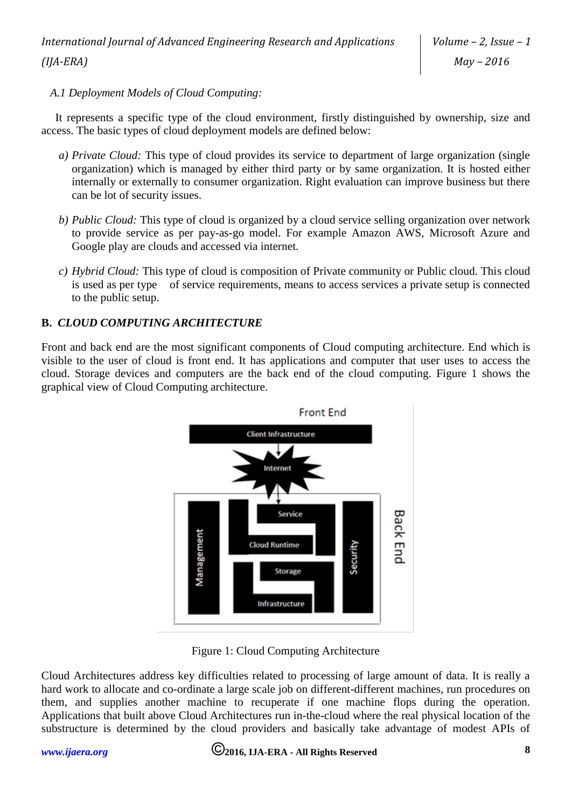*A.1 Deployment Models of Cloud Computing:*

It represents a specific type of the cloud environment, firstly distinguished by ownership, size and access. The basic types of cloud deployment models are defined below:

- *a) Private Cloud:* This type of cloud provides its service to department of large organization (single organization) which is managed by either third party or by same organization. It is hosted either internally or externally to consumer organization. Right evaluation can improve business but there can be lot of security issues.
- *b) Public Cloud:* This type of cloud is organized by a cloud service selling organization over network to provide service as per pay-as-go model. For example Amazon AWS, Microsoft Azure and Google play are clouds and accessed via internet.
- *c) Hybrid Cloud:* This type of cloud is composition of Private community or Public cloud. This cloud is used as per type of service requirements, means to access services a private setup is connected to the public setup.

# **B.** *CLOUD COMPUTING ARCHITECTURE*

Front and back end are the most significant components of Cloud computing architecture. End which is visible to the user of cloud is front end. It has applications and computer that user uses to access the cloud. Storage devices and computers are the back end of the cloud computing. Figure 1 shows the graphical view of Cloud Computing architecture.



Figure 1: Cloud Computing Architecture

Cloud Architectures address key difficulties related to processing of large amount of data. It is really a hard work to allocate and co-ordinate a large scale job on different-different machines, run procedures on them, and supplies another machine to recuperate if one machine flops during the operation. Applications that built above Cloud Architectures run in-the-cloud where the real physical location of the substructure is determined by the cloud providers and basically take advantage of modest APIs of

# *[www.ijaera.org](../../www.ijaera.org)* **2016, IJA-ERA - All Rights Reserved 8**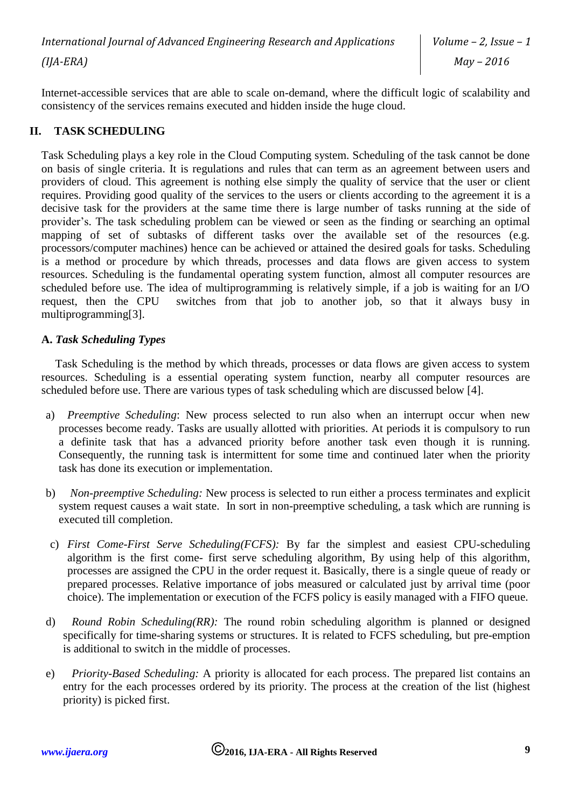Internet-accessible services that are able to scale on-demand, where the difficult logic of scalability and consistency of the services remains executed and hidden inside the huge cloud.

# **II. TASK SCHEDULING**

Task Scheduling plays a key role in the Cloud Computing system. Scheduling of the task cannot be done on basis of single criteria. It is regulations and rules that can term as an agreement between users and providers of cloud. This agreement is nothing else simply the quality of service that the user or client requires. Providing good quality of the services to the users or clients according to the agreement it is a decisive task for the providers at the same time there is large number of tasks running at the side of provider's. The task scheduling problem can be viewed or seen as the finding or searching an optimal mapping of set of subtasks of different tasks over the available set of the resources (e.g. processors/computer machines) hence can be achieved or attained the desired goals for tasks. Scheduling is a method or procedure by which threads, processes and data flows are given access to system resources. Scheduling is the fundamental operating system function, almost all computer resources are scheduled before use. The idea of multiprogramming is relatively simple, if a job is waiting for an I/O request, then the CPU switches from that job to another job, so that it always busy in multiprogramming[3].

#### **A.** *Task Scheduling Types*

Task Scheduling is the method by which threads, processes or data flows are given access to system resources. Scheduling is a essential operating system function, nearby all computer resources are scheduled before use. There are various types of task scheduling which are discussed below [4].

- a) *Preemptive Scheduling*: New process selected to run also when an interrupt occur when new processes become ready. Tasks are usually allotted with priorities. At periods it is compulsory to run a definite task that has a advanced priority before another task even though it is running. Consequently, the running task is intermittent for some time and continued later when the priority task has done its execution or implementation.
- b) *Non-preemptive Scheduling:* New process is selected to run either a process terminates and explicit system request causes a wait state. In sort in non-preemptive scheduling, a task which are running is executed till completion.
- c) *First Come-First Serve Scheduling(FCFS):* By far the simplest and easiest CPU-scheduling algorithm is the first come- first serve scheduling algorithm, By using help of this algorithm, processes are assigned the CPU in the order request it. Basically, there is a single queue of ready or prepared processes. Relative importance of jobs measured or calculated just by arrival time (poor choice). The implementation or execution of the FCFS policy is easily managed with a FIFO queue.
- d) *Round Robin Scheduling(RR):* The round robin scheduling algorithm is planned or designed specifically for time-sharing systems or structures. It is related to FCFS scheduling, but pre-emption is additional to switch in the middle of processes.
- e) *Priority-Based Scheduling:* A priority is allocated for each process. The prepared list contains an entry for the each processes ordered by its priority. The process at the creation of the list (highest priority) is picked first.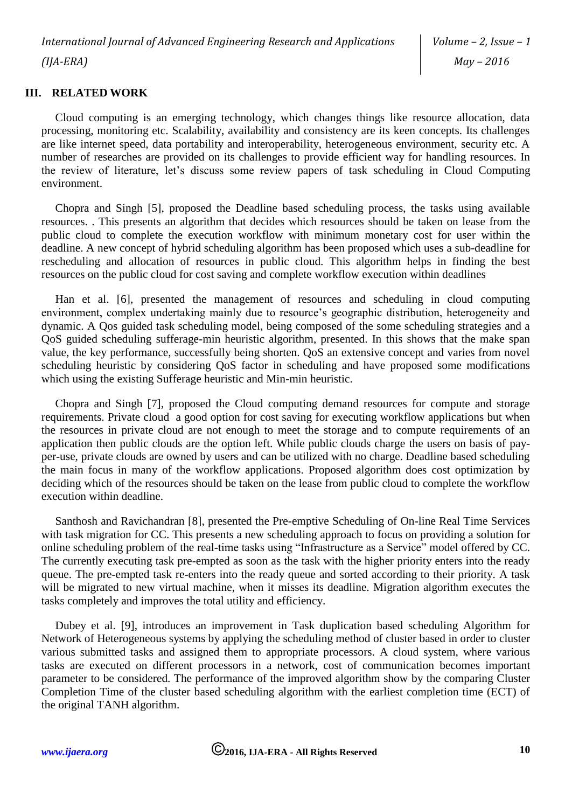*International Journal of Advanced Engineering Research and Applications (IJA-ERA)*

#### **III. RELATED WORK**

Cloud computing is an emerging technology, which changes things like resource allocation, data processing, monitoring etc. Scalability, availability and consistency are its keen concepts. Its challenges are like internet speed, data portability and interoperability, heterogeneous environment, security etc. A number of researches are provided on its challenges to provide efficient way for handling resources. In the review of literature, let's discuss some review papers of task scheduling in Cloud Computing environment.

Chopra and Singh [5], proposed the Deadline based scheduling process, the tasks using available resources. . This presents an algorithm that decides which resources should be taken on lease from the public cloud to complete the execution workflow with minimum monetary cost for user within the deadline. A new concept of hybrid scheduling algorithm has been proposed which uses a sub-deadline for rescheduling and allocation of resources in public cloud. This algorithm helps in finding the best resources on the public cloud for cost saving and complete workflow execution within deadlines

Han et al. [6], presented the management of resources and scheduling in cloud computing environment, complex undertaking mainly due to resource's geographic distribution, heterogeneity and dynamic. A Qos guided task scheduling model, being composed of the some scheduling strategies and a QoS guided scheduling sufferage-min heuristic algorithm, presented. In this shows that the make span value, the key performance, successfully being shorten. QoS an extensive concept and varies from novel scheduling heuristic by considering QoS factor in scheduling and have proposed some modifications which using the existing Sufferage heuristic and Min-min heuristic.

Chopra and Singh [7], proposed the Cloud computing demand resources for compute and storage requirements. Private cloud a good option for cost saving for executing workflow applications but when the resources in private cloud are not enough to meet the storage and to compute requirements of an application then public clouds are the option left. While public clouds charge the users on basis of payper-use, private clouds are owned by users and can be utilized with no charge. Deadline based scheduling the main focus in many of the workflow applications. Proposed algorithm does cost optimization by deciding which of the resources should be taken on the lease from public cloud to complete the workflow execution within deadline.

Santhosh and Ravichandran [8], presented the Pre-emptive Scheduling of On-line Real Time Services with task migration for CC. This presents a new scheduling approach to focus on providing a solution for online scheduling problem of the real-time tasks using "Infrastructure as a Service" model offered by CC. The currently executing task pre-empted as soon as the task with the higher priority enters into the ready queue. The pre-empted task re-enters into the ready queue and sorted according to their priority. A task will be migrated to new virtual machine, when it misses its deadline. Migration algorithm executes the tasks completely and improves the total utility and efficiency.

Dubey et al. [9], introduces an improvement in Task duplication based scheduling Algorithm for Network of Heterogeneous systems by applying the scheduling method of cluster based in order to cluster various submitted tasks and assigned them to appropriate processors. A cloud system, where various tasks are executed on different processors in a network, cost of communication becomes important parameter to be considered. The performance of the improved algorithm show by the comparing Cluster Completion Time of the cluster based scheduling algorithm with the earliest completion time (ECT) of the original TANH algorithm.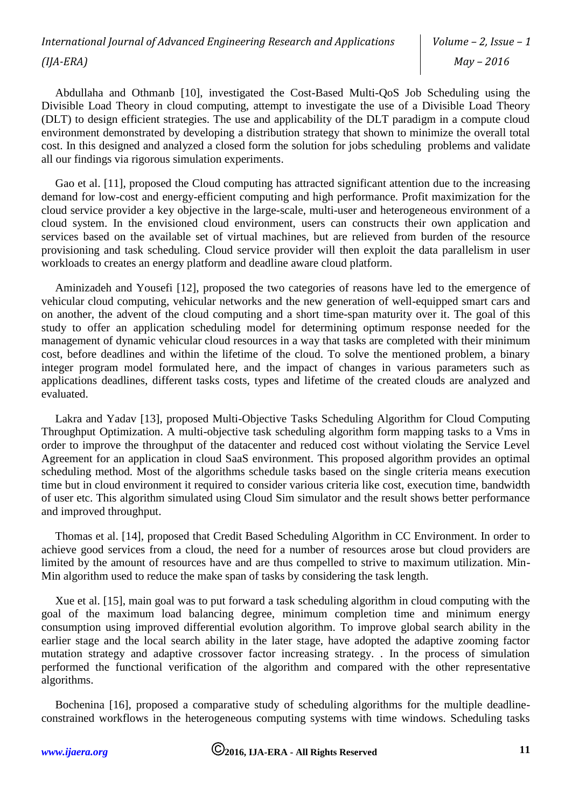*Volume – 2, Issue – 1 May – 2016*

Abdullaha and Othmanb [10], investigated the Cost-Based Multi-QoS Job Scheduling using the Divisible Load Theory in cloud computing, attempt to investigate the use of a Divisible Load Theory (DLT) to design efficient strategies. The use and applicability of the DLT paradigm in a compute cloud environment demonstrated by developing a distribution strategy that shown to minimize the overall total cost. In this designed and analyzed a closed form the solution for jobs scheduling problems and validate all our findings via rigorous simulation experiments.

Gao et al. [11], proposed the Cloud computing has attracted significant attention due to the increasing demand for low-cost and energy-efficient computing and high performance. Profit maximization for the cloud service provider a key objective in the large-scale, multi-user and heterogeneous environment of a cloud system. In the envisioned cloud environment, users can constructs their own application and services based on the available set of virtual machines, but are relieved from burden of the resource provisioning and task scheduling. Cloud service provider will then exploit the data parallelism in user workloads to creates an energy platform and deadline aware cloud platform.

Aminizadeh and Yousefi [12], proposed the two categories of reasons have led to the emergence of vehicular cloud computing, vehicular networks and the new generation of well-equipped smart cars and on another, the advent of the cloud computing and a short time-span maturity over it. The goal of this study to offer an application scheduling model for determining optimum response needed for the management of dynamic vehicular cloud resources in a way that tasks are completed with their minimum cost, before deadlines and within the lifetime of the cloud. To solve the mentioned problem, a binary integer program model formulated here, and the impact of changes in various parameters such as applications deadlines, different tasks costs, types and lifetime of the created clouds are analyzed and evaluated.

Lakra and Yadav [13], proposed Multi-Objective Tasks Scheduling Algorithm for Cloud Computing Throughput Optimization. A multi-objective task scheduling algorithm form mapping tasks to a Vms in order to improve the throughput of the datacenter and reduced cost without violating the Service Level Agreement for an application in cloud SaaS environment. This proposed algorithm provides an optimal scheduling method. Most of the algorithms schedule tasks based on the single criteria means execution time but in cloud environment it required to consider various criteria like cost, execution time, bandwidth of user etc. This algorithm simulated using Cloud Sim simulator and the result shows better performance and improved throughput.

Thomas et al. [14], proposed that Credit Based Scheduling Algorithm in CC Environment. In order to achieve good services from a cloud, the need for a number of resources arose but cloud providers are limited by the amount of resources have and are thus compelled to strive to maximum utilization. Min-Min algorithm used to reduce the make span of tasks by considering the task length.

Xue et al. [15], main goal was to put forward a task scheduling algorithm in cloud computing with the goal of the maximum load balancing degree, minimum completion time and minimum energy consumption using improved differential evolution algorithm. To improve global search ability in the earlier stage and the local search ability in the later stage, have adopted the adaptive zooming factor mutation strategy and adaptive crossover factor increasing strategy. . In the process of simulation performed the functional verification of the algorithm and compared with the other representative algorithms.

Bochenina [16], proposed a comparative study of scheduling algorithms for the multiple deadlineconstrained workflows in the heterogeneous computing systems with time windows. Scheduling tasks

*[www.ijaera.org](../../www.ijaera.org)* **2016, IJA-ERA - All Rights Reserved 11**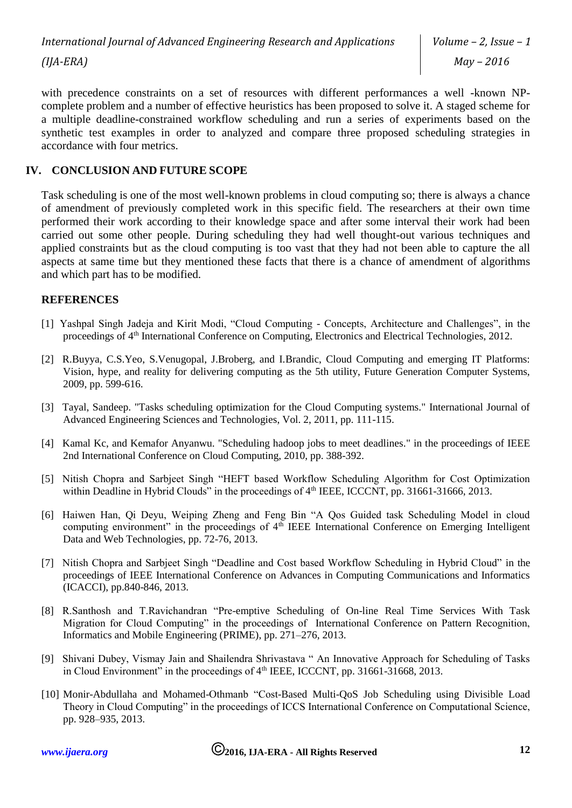with precedence constraints on a set of resources with different performances a well -known NPcomplete problem and a number of effective heuristics has been proposed to solve it. A staged scheme for a multiple deadline-constrained workflow scheduling and run a series of experiments based on the synthetic test examples in order to analyzed and compare three proposed scheduling strategies in accordance with four metrics.

### **IV. CONCLUSION AND FUTURE SCOPE**

Task scheduling is one of the most well-known problems in cloud computing so; there is always a chance of amendment of previously completed work in this specific field. The researchers at their own time performed their work according to their knowledge space and after some interval their work had been carried out some other people. During scheduling they had well thought-out various techniques and applied constraints but as the cloud computing is too vast that they had not been able to capture the all aspects at same time but they mentioned these facts that there is a chance of amendment of algorithms and which part has to be modified.

#### **REFERENCES**

- [1] Yashpal Singh Jadeja and Kirit Modi, "Cloud Computing Concepts, Architecture and Challenges", in the proceedings of 4th International Conference on Computing, Electronics and Electrical Technologies, 2012.
- [2] R.Buyya, C.S.Yeo, S.Venugopal, J.Broberg, and I.Brandic, Cloud Computing and emerging IT Platforms: Vision, hype, and reality for delivering computing as the 5th utility, Future Generation Computer Systems, 2009, pp. 599-616.
- [3] Tayal, Sandeep. "Tasks scheduling optimization for the Cloud Computing systems." International Journal of Advanced Engineering Sciences and Technologies, Vol. 2, 2011, pp. 111-115.
- [4] Kamal Kc, and Kemafor Anyanwu. "Scheduling hadoop jobs to meet deadlines." in the proceedings of IEEE 2nd International Conference on Cloud Computing, 2010, pp. 388-392.
- [5] Nitish Chopra and Sarbjeet Singh "HEFT based Workflow Scheduling Algorithm for Cost Optimization within Deadline in Hybrid Clouds" in the proceedings of 4<sup>th</sup> IEEE, ICCCNT, pp. 31661-31666, 2013.
- [6] Haiwen Han, Qi Deyu, Weiping Zheng and Feng Bin "A Qos Guided task Scheduling Model in cloud computing environment" in the proceedings of  $4<sup>th</sup>$  IEEE International Conference on Emerging Intelligent Data and Web Technologies, pp. 72-76, 2013.
- [7] Nitish Chopra and Sarbjeet Singh "Deadline and Cost based Workflow Scheduling in Hybrid Cloud" in the proceedings of IEEE International Conference on Advances in Computing Communications and Informatics (ICACCI), pp.840-846, 2013.
- [8] R.Santhosh and T.Ravichandran "Pre-emptive Scheduling of On-line Real Time Services With Task Migration for Cloud Computing" in the proceedings of International Conference on Pattern Recognition, Informatics and Mobile Engineering (PRIME), pp. 271–276, 2013.
- [9] Shivani Dubey, Vismay Jain and Shailendra Shrivastava " An Innovative Approach for Scheduling of Tasks in Cloud Environment" in the proceedings of  $4<sup>th</sup>$  IEEE, ICCCNT, pp. 31661-31668, 2013.
- [10] Monir-Abdullaha and Mohamed-Othmanb "Cost-Based Multi-QoS Job Scheduling using Divisible Load Theory in Cloud Computing" in the proceedings of ICCS International Conference on Computational Science, pp. 928–935, 2013.